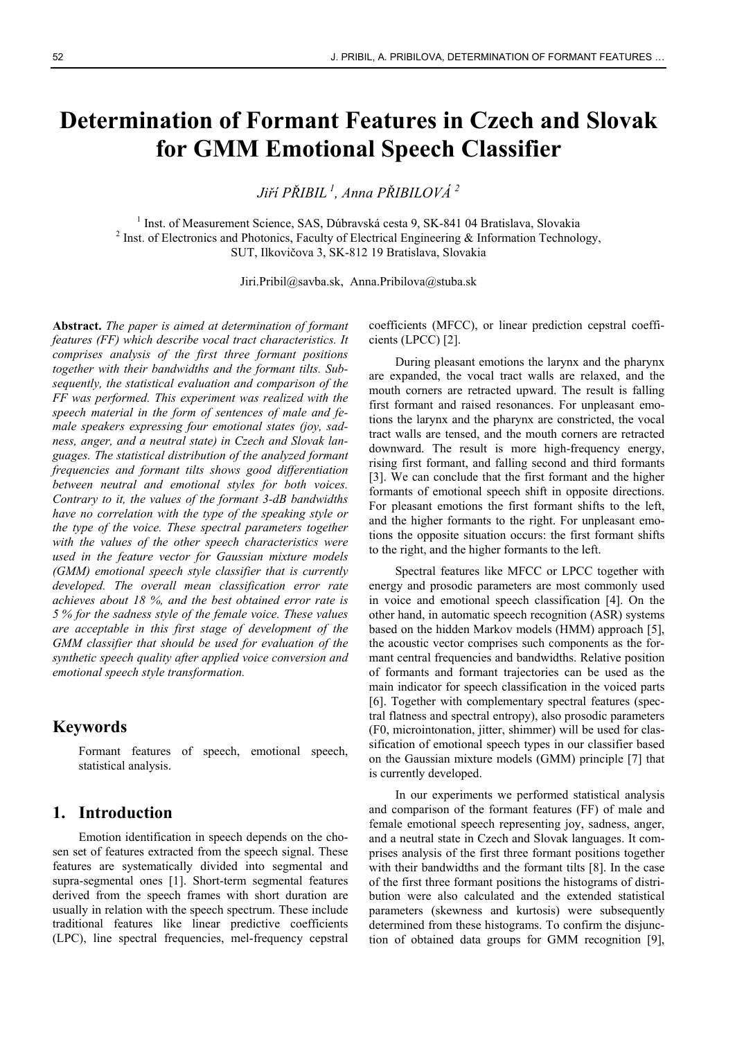# **Determination of Formant Features in Czech and Slovak for GMM Emotional Speech Classifier**

*Jiří PŘIBIL 1, Anna PŘIBILOVÁ <sup>2</sup>*

<sup>1</sup> Inst. of Measurement Science, SAS, Dúbravská cesta 9, SK-841 04 Bratislava, Slovakia <sup>2</sup> Inst. of Electronics and Photonics, Escultu of Electrical Engineering & Information Technology  $2$  Inst. of Electronics and Photonics, Faculty of Electrical Engineering & Information Technology, SUT, Ilkovičova 3, SK-812 19 Bratislava, Slovakia

Jiri.Pribil@savba.sk, Anna.Pribilova@stuba.sk

**Abstract.** *The paper is aimed at determination of formant features (FF) which describe vocal tract characteristics. It comprises analysis of the first three formant positions together with their bandwidths and the formant tilts. Subsequently, the statistical evaluation and comparison of the FF was performed. This experiment was realized with the speech material in the form of sentences of male and female speakers expressing four emotional states (joy, sadness, anger, and a neutral state) in Czech and Slovak languages. The statistical distribution of the analyzed formant frequencies and formant tilts shows good differentiation between neutral and emotional styles for both voices. Contrary to it, the values of the formant 3-dB bandwidths have no correlation with the type of the speaking style or the type of the voice. These spectral parameters together with the values of the other speech characteristics were used in the feature vector for Gaussian mixture models (GMM) emotional speech style classifier that is currently developed. The overall mean classification error rate achieves about 18 %, and the best obtained error rate is 5 % for the sadness style of the female voice. These values are acceptable in this first stage of development of the GMM classifier that should be used for evaluation of the synthetic speech quality after applied voice conversion and emotional speech style transformation.* 

# **Keywords**

Formant features of speech, emotional speech, statistical analysis.

## **1. Introduction**

Emotion identification in speech depends on the chosen set of features extracted from the speech signal. These features are systematically divided into segmental and supra-segmental ones [1]. Short-term segmental features derived from the speech frames with short duration are usually in relation with the speech spectrum. These include traditional features like linear predictive coefficients (LPC), line spectral frequencies, mel-frequency cepstral

coefficients (MFCC), or linear prediction cepstral coefficients (LPCC) [2].

During pleasant emotions the larynx and the pharynx are expanded, the vocal tract walls are relaxed, and the mouth corners are retracted upward. The result is falling first formant and raised resonances. For unpleasant emotions the larynx and the pharynx are constricted, the vocal tract walls are tensed, and the mouth corners are retracted downward. The result is more high-frequency energy, rising first formant, and falling second and third formants [3]. We can conclude that the first formant and the higher formants of emotional speech shift in opposite directions. For pleasant emotions the first formant shifts to the left, and the higher formants to the right. For unpleasant emotions the opposite situation occurs: the first formant shifts to the right, and the higher formants to the left.

Spectral features like MFCC or LPCC together with energy and prosodic parameters are most commonly used in voice and emotional speech classification [4]. On the other hand, in automatic speech recognition (ASR) systems based on the hidden Markov models (HMM) approach [5], the acoustic vector comprises such components as the formant central frequencies and bandwidths. Relative position of formants and formant trajectories can be used as the main indicator for speech classification in the voiced parts [6]. Together with complementary spectral features (spectral flatness and spectral entropy), also prosodic parameters (F0, microintonation, jitter, shimmer) will be used for classification of emotional speech types in our classifier based on the Gaussian mixture models (GMM) principle [7] that is currently developed.

In our experiments we performed statistical analysis and comparison of the formant features (FF) of male and female emotional speech representing joy, sadness, anger, and a neutral state in Czech and Slovak languages. It comprises analysis of the first three formant positions together with their bandwidths and the formant tilts [8]. In the case of the first three formant positions the histograms of distribution were also calculated and the extended statistical parameters (skewness and kurtosis) were subsequently determined from these histograms. To confirm the disjunction of obtained data groups for GMM recognition [9],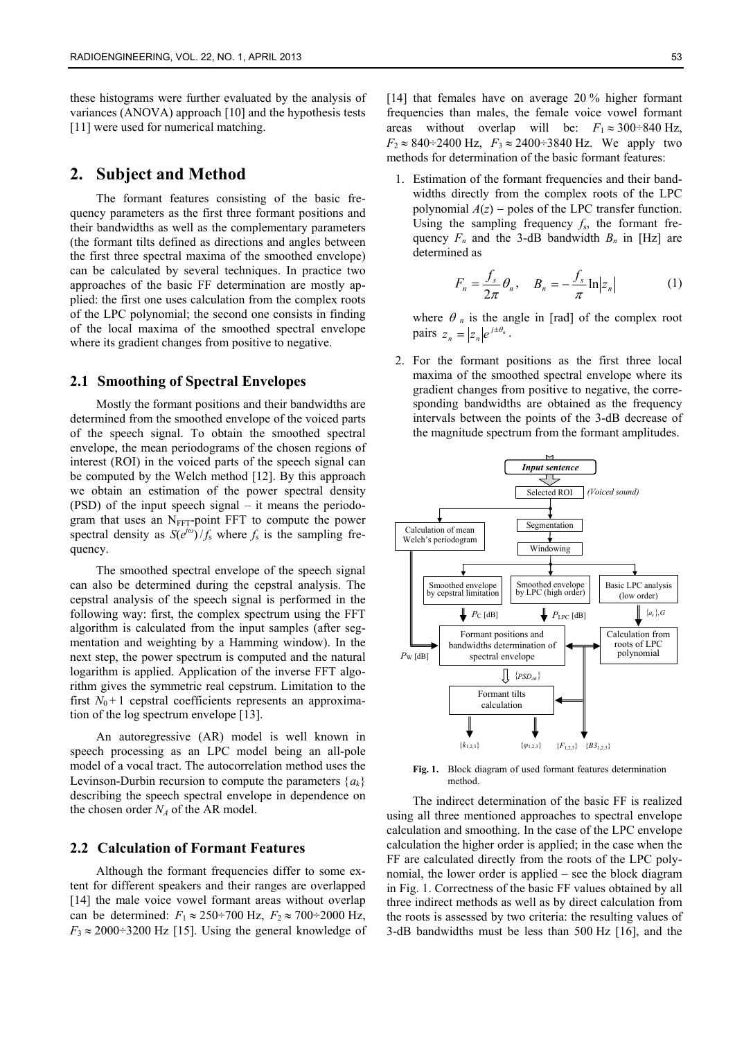these histograms were further evaluated by the analysis of variances (ANOVA) approach [10] and the hypothesis tests [11] were used for numerical matching.

## **2. Subject and Method**

The formant features consisting of the basic frequency parameters as the first three formant positions and their bandwidths as well as the complementary parameters (the formant tilts defined as directions and angles between the first three spectral maxima of the smoothed envelope) can be calculated by several techniques. In practice two approaches of the basic FF determination are mostly applied: the first one uses calculation from the complex roots of the LPC polynomial; the second one consists in finding of the local maxima of the smoothed spectral envelope where its gradient changes from positive to negative.

#### **2.1 Smoothing of Spectral Envelopes**

Mostly the formant positions and their bandwidths are determined from the smoothed envelope of the voiced parts of the speech signal. To obtain the smoothed spectral envelope, the mean periodograms of the chosen regions of interest (ROI) in the voiced parts of the speech signal can be computed by the Welch method [12]. By this approach we obtain an estimation of the power spectral density (PSD) of the input speech signal – it means the periodogram that uses an  $N<sub>FFT</sub>$ -point FFT to compute the power spectral density as  $S(e^{j\omega})/f_s$  where  $f_s$  is the sampling frequency.

The smoothed spectral envelope of the speech signal can also be determined during the cepstral analysis. The cepstral analysis of the speech signal is performed in the following way: first, the complex spectrum using the FFT algorithm is calculated from the input samples (after segmentation and weighting by a Hamming window). In the next step, the power spectrum is computed and the natural logarithm is applied. Application of the inverse FFT algorithm gives the symmetric real cepstrum. Limitation to the first  $N_0 + 1$  cepstral coefficients represents an approximation of the log spectrum envelope [13].

An autoregressive (AR) model is well known in speech processing as an LPC model being an all-pole model of a vocal tract. The autocorrelation method uses the Levinson-Durbin recursion to compute the parameters  ${a_k}$ describing the speech spectral envelope in dependence on the chosen order  $N_A$  of the AR model.

#### **2.2 Calculation of Formant Features**

Although the formant frequencies differ to some extent for different speakers and their ranges are overlapped [14] the male voice vowel formant areas without overlap can be determined:  $F_1 \approx 250 \div 700$  Hz,  $F_2 \approx 700 \div 2000$  Hz,  $F_3 \approx 2000 \div 3200$  Hz [15]. Using the general knowledge of [14] that females have on average 20 % higher formant frequencies than males, the female voice vowel formant areas without overlap will be:  $F_1 \approx 300 \div 840$  Hz,  $F_2 \approx 840 \div 2400$  Hz,  $F_3 \approx 2400 \div 3840$  Hz. We apply two methods for determination of the basic formant features:

1. Estimation of the formant frequencies and their bandwidths directly from the complex roots of the LPC polynomial  $A(z)$  – poles of the LPC transfer function. Using the sampling frequency  $f_s$ , the formant frequency  $F_n$  and the 3-dB bandwidth  $B_n$  in [Hz] are determined as

$$
F_n = \frac{f_s}{2\pi} \theta_n, \quad B_n = -\frac{f_s}{\pi} \ln |z_n| \tag{1}
$$

where  $\theta_n$  is the angle in [rad] of the complex root pairs  $z_n = |z_n| e^{j \pm \theta_n}$ .

2. For the formant positions as the first three local maxima of the smoothed spectral envelope where its gradient changes from positive to negative, the corresponding bandwidths are obtained as the frequency intervals between the points of the 3-dB decrease of the magnitude spectrum from the formant amplitudes.



**Fig. 1.** Block diagram of used formant features determination method.

The indirect determination of the basic FF is realized using all three mentioned approaches to spectral envelope calculation and smoothing. In the case of the LPC envelope calculation the higher order is applied; in the case when the FF are calculated directly from the roots of the LPC polynomial, the lower order is applied – see the block diagram in Fig. 1. Correctness of the basic FF values obtained by all three indirect methods as well as by direct calculation from the roots is assessed by two criteria: the resulting values of 3-dB bandwidths must be less than 500 Hz [16], and the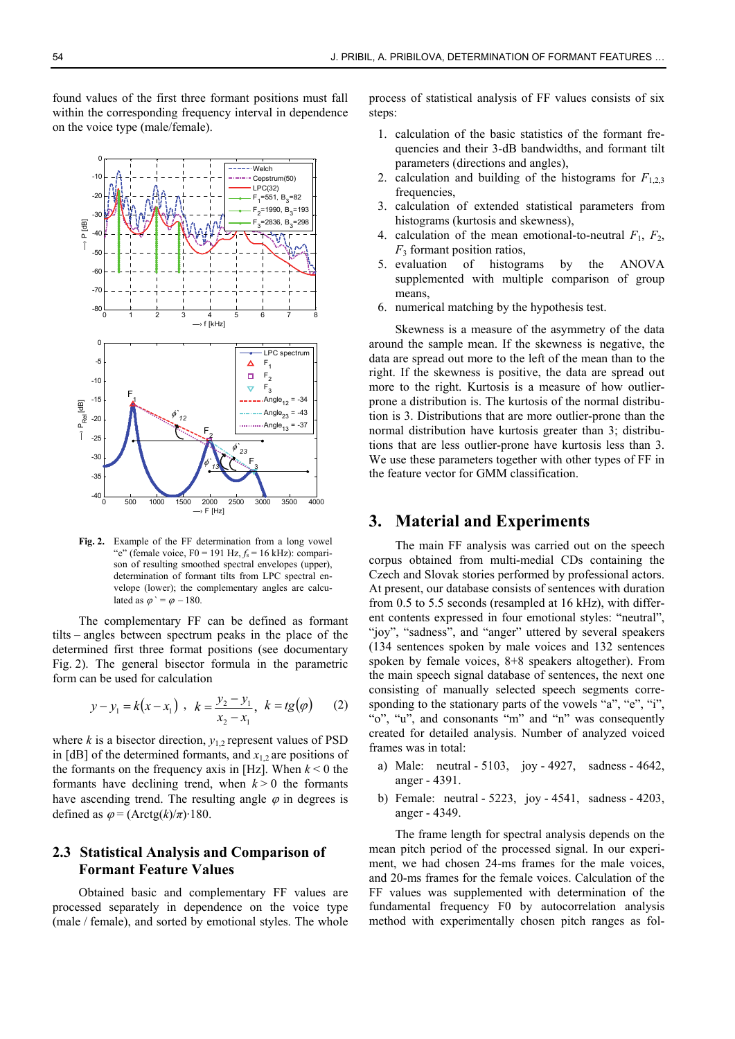found values of the first three formant positions must fall within the corresponding frequency interval in dependence on the voice type (male/female).



**Fig. 2.** Example of the FF determination from a long vowel "e" (female voice,  $F0 = 191$  Hz,  $f_s = 16$  kHz): comparison of resulting smoothed spectral envelopes (upper), determination of formant tilts from LPC spectral envelope (lower); the complementary angles are calculated as  $\varphi = \varphi - 180$ .

The complementary FF can be defined as formant tilts – angles between spectrum peaks in the place of the determined first three format positions (see documentary Fig. 2). The general bisector formula in the parametric form can be used for calculation

$$
y-y_1 = k(x-x_1)
$$
,  $k = \frac{y_2 - y_1}{x_2 - x_1}$ ,  $k = tg(\varphi)$  (2)

where  $k$  is a bisector direction,  $y_1$ , represent values of PSD in  $[dB]$  of the determined formants, and  $x_1$ , are positions of the formants on the frequency axis in [Hz]. When  $k < 0$  the formants have declining trend, when  $k > 0$  the formants have ascending trend. The resulting angle  $\varphi$  in degrees is defined as  $\varphi = (Arctg(k)/\pi) \cdot 180$ .

#### **2.3 Statistical Analysis and Comparison of Formant Feature Values**

Obtained basic and complementary FF values are processed separately in dependence on the voice type (male / female), and sorted by emotional styles. The whole process of statistical analysis of FF values consists of six steps:

- 1. calculation of the basic statistics of the formant frequencies and their 3-dB bandwidths, and formant tilt parameters (directions and angles),
- 2. calculation and building of the histograms for  $F_{1,2,3}$ frequencies,
- 3. calculation of extended statistical parameters from histograms (kurtosis and skewness),
- 4. calculation of the mean emotional-to-neutral  $F_1$ ,  $F_2$ ,  $F_3$  formant position ratios,
- 5. evaluation of histograms by the ANOVA supplemented with multiple comparison of group means,
- 6. numerical matching by the hypothesis test.

Skewness is a measure of the asymmetry of the data around the sample mean. If the skewness is negative, the data are spread out more to the left of the mean than to the right. If the skewness is positive, the data are spread out more to the right. Kurtosis is a measure of how outlierprone a distribution is. The kurtosis of the normal distribution is 3. Distributions that are more outlier-prone than the normal distribution have kurtosis greater than 3; distributions that are less outlier-prone have kurtosis less than 3. We use these parameters together with other types of FF in the feature vector for GMM classification.

#### **3. Material and Experiments**

The main FF analysis was carried out on the speech corpus obtained from multi-medial CDs containing the Czech and Slovak stories performed by professional actors. At present, our database consists of sentences with duration from 0.5 to 5.5 seconds (resampled at 16 kHz), with different contents expressed in four emotional styles: "neutral", "joy", "sadness", and "anger" uttered by several speakers (134 sentences spoken by male voices and 132 sentences spoken by female voices, 8+8 speakers altogether). From the main speech signal database of sentences, the next one consisting of manually selected speech segments corresponding to the stationary parts of the vowels "a", "e", "i", "o", "u", and consonants "m" and "n" was consequently created for detailed analysis. Number of analyzed voiced frames was in total:

- a) Male: neutral 5103, joy 4927, sadness 4642, anger - 4391.
- b) Female: neutral 5223, joy 4541, sadness 4203, anger - 4349.

The frame length for spectral analysis depends on the mean pitch period of the processed signal. In our experiment, we had chosen 24-ms frames for the male voices, and 20-ms frames for the female voices. Calculation of the FF values was supplemented with determination of the fundamental frequency F0 by autocorrelation analysis method with experimentally chosen pitch ranges as fol-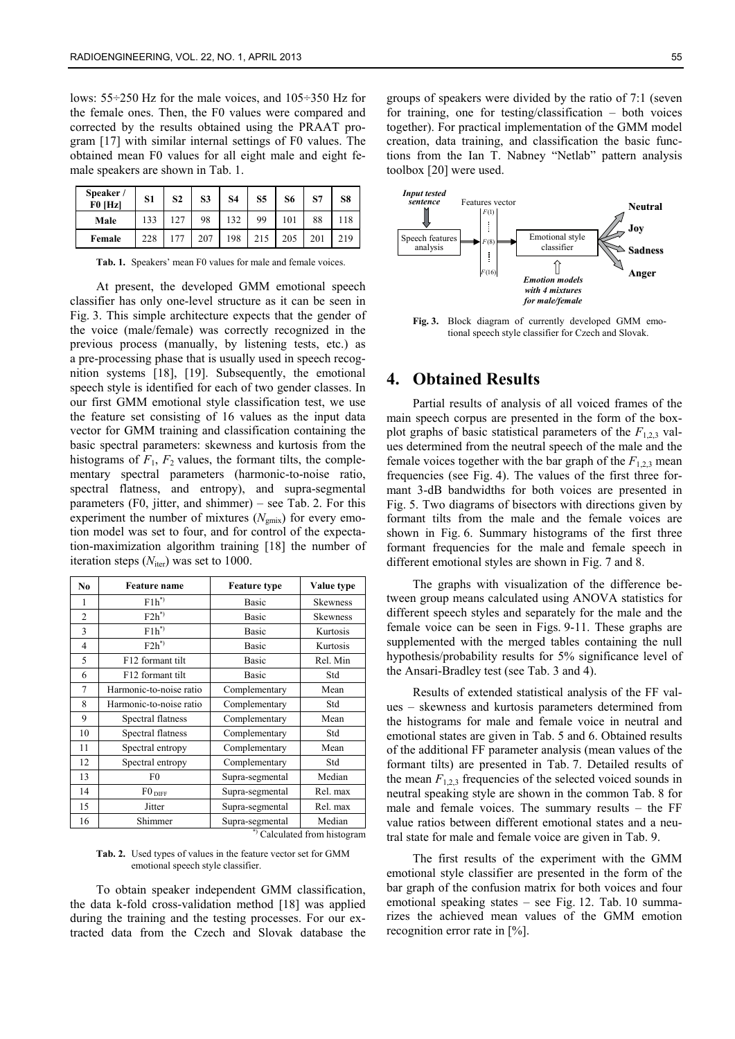lows: 55÷250 Hz for the male voices, and 105÷350 Hz for the female ones. Then, the F0 values were compared and corrected by the results obtained using the PRAAT program [17] with similar internal settings of F0 values. The obtained mean F0 values for all eight male and eight female speakers are shown in Tab. 1.

| Speaker /<br>$F0$ [Hz] | S <sub>1</sub> | S <sub>2</sub> | S3  | <b>S4</b> | S <sub>5</sub> | S6  | S7  | S8  |
|------------------------|----------------|----------------|-----|-----------|----------------|-----|-----|-----|
| Male                   | 133            | 127            | 98  | 132       | 99             | 101 | 88  | 118 |
| Female                 | 228            | 177            | 207 | 198       | 215            | 205 | 201 | 219 |

Tab. 1. Speakers' mean F0 values for male and female voices.

At present, the developed GMM emotional speech classifier has only one-level structure as it can be seen in Fig. 3. This simple architecture expects that the gender of the voice (male/female) was correctly recognized in the previous process (manually, by listening tests, etc.) as a pre-processing phase that is usually used in speech recognition systems [18], [19]. Subsequently, the emotional speech style is identified for each of two gender classes. In our first GMM emotional style classification test, we use the feature set consisting of 16 values as the input data vector for GMM training and classification containing the basic spectral parameters: skewness and kurtosis from the histograms of  $F_1$ ,  $F_2$  values, the formant tilts, the complementary spectral parameters (harmonic-to-noise ratio, spectral flatness, and entropy), and supra-segmental parameters (F0, jitter, and shimmer) – see Tab. 2. For this experiment the number of mixtures  $(N_{\text{gmix}})$  for every emotion model was set to four, and for control of the expectation-maximization algorithm training [18] the number of iteration steps  $(N<sub>iter</sub>)$  was set to 1000.

| N <sub>0</sub> | <b>Feature</b> name     | <b>Feature type</b> | Value type       |
|----------------|-------------------------|---------------------|------------------|
| 1              | $F1h^*$                 | Basic               | Skewness         |
| $\overline{2}$ | $F2h^*$                 | Basic               | Skewness         |
| 3              | $F1h^*$                 | Basic               | Kurtosis         |
| $\overline{4}$ | $F2h^*$                 | Basic               | Kurtosis         |
| 5              | F12 formant tilt        | Basic               | Rel. Min         |
| 6              | F12 formant tilt        | Basic               | Std              |
| 7              | Harmonic-to-noise ratio | Complementary       | Mean             |
| 8              | Harmonic-to-noise ratio | Complementary       | Std              |
| 9              | Spectral flatness       | Complementary       | Mean             |
| 10             | Spectral flatness       | Complementary       | Std              |
| 11             | Spectral entropy        | Complementary       | Mean             |
| 12             | Spectral entropy        | Complementary       | Std              |
| 13             | F0                      | Supra-segmental     | Median           |
| 14             | $F0_{\text{DIFF}}$      | Supra-segmental     | Rel. max         |
| 15             | Jitter                  | Supra-segmental     | Rel. max         |
| 16             | Shimmer                 | Supra-segmental     | Median<br>$\sim$ |

\*) Calculated from histogram

**Tab. 2.** Used types of values in the feature vector set for GMM emotional speech style classifier.

To obtain speaker independent GMM classification, the data k-fold cross-validation method [18] was applied during the training and the testing processes. For our extracted data from the Czech and Slovak database the

groups of speakers were divided by the ratio of 7:1 (seven for training, one for testing/classification – both voices together). For practical implementation of the GMM model creation, data training, and classification the basic functions from the Ian T. Nabney "Netlab" pattern analysis toolbox [20] were used.



**Fig. 3.** Block diagram of currently developed GMM emotional speech style classifier for Czech and Slovak.

# **4. Obtained Results**

Partial results of analysis of all voiced frames of the main speech corpus are presented in the form of the boxplot graphs of basic statistical parameters of the  $F_{1,2,3}$  values determined from the neutral speech of the male and the female voices together with the bar graph of the  $F_{1,2,3}$  mean frequencies (see Fig. 4). The values of the first three formant 3-dB bandwidths for both voices are presented in Fig. 5. Two diagrams of bisectors with directions given by formant tilts from the male and the female voices are shown in Fig. 6. Summary histograms of the first three formant frequencies for the male and female speech in different emotional styles are shown in Fig. 7 and 8.

The graphs with visualization of the difference between group means calculated using ANOVA statistics for different speech styles and separately for the male and the female voice can be seen in Figs. 9-11. These graphs are supplemented with the merged tables containing the null hypothesis/probability results for 5% significance level of the Ansari-Bradley test (see Tab. 3 and 4).

Results of extended statistical analysis of the FF values – skewness and kurtosis parameters determined from the histograms for male and female voice in neutral and emotional states are given in Tab. 5 and 6. Obtained results of the additional FF parameter analysis (mean values of the formant tilts) are presented in Tab. 7. Detailed results of the mean  $F_{1,2}$  frequencies of the selected voiced sounds in neutral speaking style are shown in the common Tab. 8 for male and female voices. The summary results – the FF value ratios between different emotional states and a neutral state for male and female voice are given in Tab. 9.

The first results of the experiment with the GMM emotional style classifier are presented in the form of the bar graph of the confusion matrix for both voices and four emotional speaking states – see Fig. 12. Tab. 10 summarizes the achieved mean values of the GMM emotion recognition error rate in [%].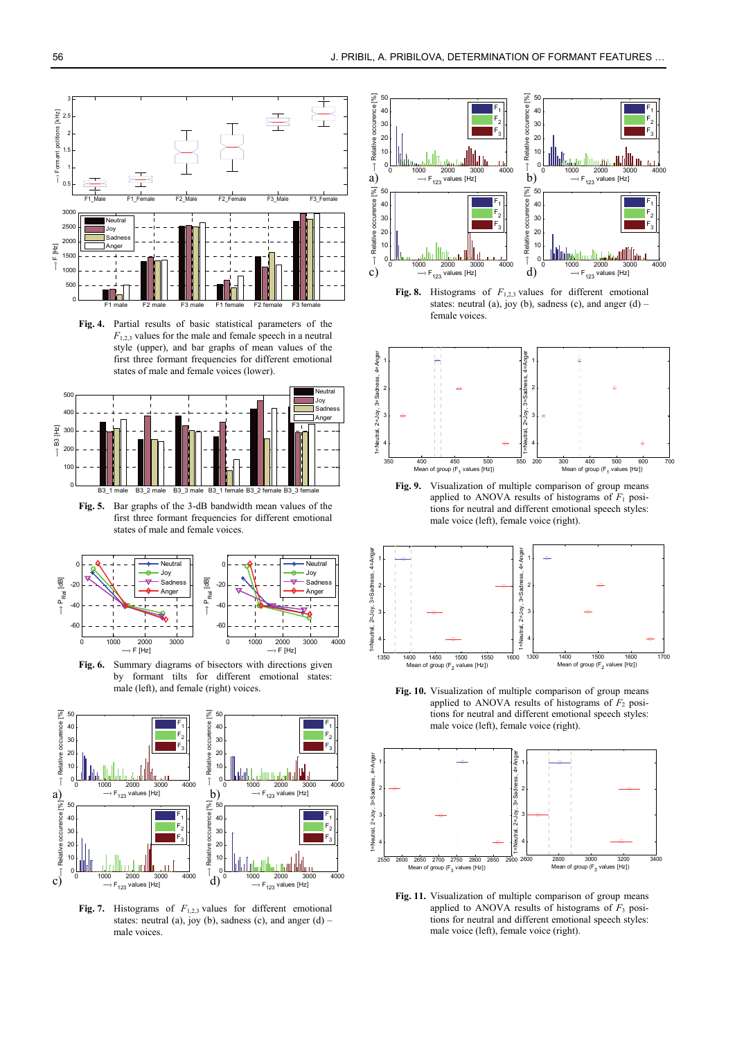

**Fig. 4.** Partial results of basic statistical parameters of the  $F_{1,2}$ , values for the male and female speech in a neutral style (upper), and bar graphs of mean values of the first three formant frequencies for different emotional states of male and female voices (lower).



**Fig. 5.** Bar graphs of the 3-dB bandwidth mean values of the first three formant frequencies for different emotional states of male and female voices.



**Fig. 6.** Summary diagrams of bisectors with directions given by formant tilts for different emotional states: male (left), and female (right) voices.



**Fig. 7.** Histograms of *F*1,2,3 values for different emotional states: neutral (a), joy (b), sadness (c), and anger (d) – male voices.



**Fig. 8.** Histograms of *F*1,2,3 values for different emotional states: neutral (a), joy (b), sadness (c), and anger  $(d)$  – female voices.



**Fig. 9.** Visualization of multiple comparison of group means applied to ANOVA results of histograms of  $F_1$  positions for neutral and different emotional speech styles: male voice (left), female voice (right).



**Fig. 10.** Visualization of multiple comparison of group means applied to ANOVA results of histograms of  $F_2$  positions for neutral and different emotional speech styles: male voice (left), female voice (right).



**Fig. 11.** Visualization of multiple comparison of group means applied to ANOVA results of histograms of  $F_3$  positions for neutral and different emotional speech styles: male voice (left), female voice (right).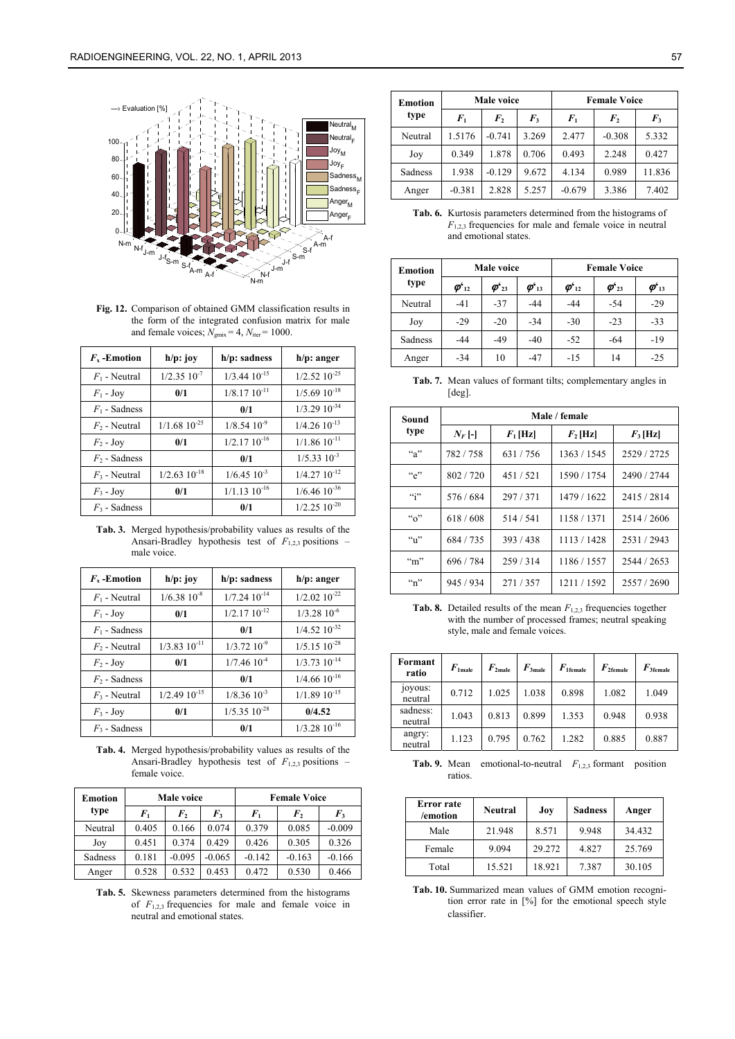

**Fig. 12.** Comparison of obtained GMM classification results in the form of the integrated confusion matrix for male and female voices;  $N_{\text{gmix}} = 4$ ,  $N_{\text{iter}} = 1000$ .

| $F_{x}$ -Emotion | $h/p$ : joy         | $h/p$ : sadness     | $h/p$ : anger       |
|------------------|---------------------|---------------------|---------------------|
| $F_1$ - Neutral  | $1/2.35$ $10^{-7}$  | $1/3.44$ $10^{-15}$ | $1/2.52$ $10^{-25}$ |
| $F_1$ - Joy      | 0/1                 | $1/8.1710^{-11}$    | $1/5.69 10^{-18}$   |
| $F_1$ - Sadness  |                     | 0/1                 | $1/3.29$ $10^{-34}$ |
| $F2$ - Neutral   | $1/1.68$ $10^{-25}$ | $1/8.54$ $10^{-9}$  | $1/4.26$ $10^{-13}$ |
| $F_2$ - Joy      | 0/1                 | $1/2.1710^{-16}$    | $1/1.86$ $10^{-11}$ |
| $F_2$ - Sadness  |                     | 0/1                 | $1/5.3310^{-3}$     |
| $F_3$ - Neutral  | $1/2.63$ $10^{-18}$ | $1/6.45$ $10^{-3}$  | $1/4.27 10^{-12}$   |
| $F_3$ - Joy      | 0/1                 | $1/1.13$ $10^{-16}$ | $1/6.46$ $10^{-36}$ |
| $F_3$ - Sadness  |                     | 0/1                 | $1/2.25$ $10^{-20}$ |

**Tab. 3.** Merged hypothesis/probability values as results of the Ansari-Bradley hypothesis test of  $F_{1,2,3}$  positions – male voice.

| $F_{x}$ -Emotion | $h/p$ : joy         | $h/p$ : sadness     | $h/p:$ anger        |
|------------------|---------------------|---------------------|---------------------|
| $F_1$ - Neutral  | $1/6.3810^{-8}$     | $1/7.24$ $10^{-14}$ | $1/2.02$ $10^{-22}$ |
| $F_1$ - Joy      | 0/1                 | $1/2.1710^{-12}$    | $1/3.28$ $10^{-6}$  |
| $F_1$ - Sadness  |                     | 0/1                 | $1/4.52$ $10^{-32}$ |
| $F_2$ - Neutral  | $1/3.83$ $10^{-11}$ | $1/3.72~10^{-9}$    | $1/5.15~10^{-28}$   |
| $F_2$ - Joy      | 0/1                 | $1/7.46$ $10^{-4}$  | $1/3.73$ $10^{-14}$ |
| $F_2$ - Sadness  |                     | 0/1                 | $1/4.66$ $10^{-16}$ |
| $F_3$ - Neutral  | $1/2.4910^{-15}$    | $1/8.36$ $10^{-3}$  | $1/1.89 10^{-15}$   |
| $F_3$ - Joy      | 0/1                 | $1/5.35$ $10^{-28}$ | 0/4.52              |
| $F_3$ - Sadness  |                     | 0/1                 | $1/3.28$ $10^{-16}$ |

**Tab. 4.** Merged hypothesis/probability values as results of the Ansari-Bradley hypothesis test of  $F_{1,2,3}$  positions – female voice.

| <b>Emotion</b> |         | Male voice   |          | <b>Female Voice</b> |              |          |
|----------------|---------|--------------|----------|---------------------|--------------|----------|
| type           | $F_{1}$ | $\bm{F}_{2}$ | $F_3$    | $F_{1}$             | $\bm{F}_{2}$ | $F_3$    |
| Neutral        | 0.405   | 0.166        | 0.074    | 0.379               | 0.085        | $-0.009$ |
| Joy            | 0.451   | 0.374        | 0.429    | 0.426               | 0.305        | 0.326    |
| Sadness        | 0.181   | $-0.095$     | $-0.065$ | $-0.142$            | $-0.163$     | $-0.166$ |
| Anger          | 0.528   | 0.532        | 0.453    | 0.472               | 0.530        | 0.466    |

**Tab. 5.** Skewness parameters determined from the histograms of  $F_{1,2,3}$  frequencies for male and female voice in neutral and emotional states.

| <b>Emotion</b> |          | Male voice       |       | <b>Female Voice</b> |                    |        |
|----------------|----------|------------------|-------|---------------------|--------------------|--------|
| type           | $F_{1}$  | $\boldsymbol{F}$ | $F_3$ | $F_1$               | $\boldsymbol{F_2}$ | $F_3$  |
| Neutral        | 1.5176   | $-0.741$         | 3.269 | 2.477               | $-0.308$           | 5.332  |
| Joy            | 0.349    | 1.878            | 0.706 | 0.493               | 2.248              | 0.427  |
| Sadness        | 1.938    | $-0.129$         | 9.672 | 4.134               | 0.989              | 11.836 |
| Anger          | $-0.381$ | 2.828            | 5.257 | $-0.679$            | 3.386              | 7.402  |

**Tab. 6.** Kurtosis parameters determined from the histograms of  $F_{1,2}$  frequencies for male and female voice in neutral and emotional states.

| <b>Emotion</b> |                                        | Male voice                                           |                                        | <b>Female Voice</b>                    |                                                      |                             |
|----------------|----------------------------------------|------------------------------------------------------|----------------------------------------|----------------------------------------|------------------------------------------------------|-----------------------------|
| type           | $\boldsymbol{\varphi}_{12}^{\epsilon}$ | $\boldsymbol{\varphi}^{\boldsymbol{\varsigma}}_{23}$ | $\boldsymbol{\varphi}^\epsilon{}_{13}$ | $\boldsymbol{\varphi}_{12}^{\epsilon}$ | $\boldsymbol{\varphi}^{\boldsymbol{\varsigma}}_{23}$ | $\boldsymbol{\varphi}_{13}$ |
| Neutral        | $-41$                                  | $-37$                                                | $-44$                                  | $-44$                                  | $-54$                                                | $-29$                       |
| Joy            | $-29$                                  | $-20$                                                | $-34$                                  | $-30$                                  | $-23$                                                | $-33$                       |
| Sadness        | $-44$                                  | $-49$                                                | $-40$                                  | $-52$                                  | $-64$                                                | $-19$                       |
| Anger          | $-34$                                  | 10                                                   | $-47$                                  | $-15$                                  | 14                                                   | $-25$                       |

**Tab. 7.** Mean values of formant tilts; complementary angles in [deg].

| Sound              | Male / female |            |             |             |  |  |  |
|--------------------|---------------|------------|-------------|-------------|--|--|--|
| type               | $N_F$ [-]     | $F_1$ [Hz] | $F_2$ [Hz]  | $F_3$ [Hz]  |  |  |  |
| $a^{\prime}$       | 782/758       | 631/756    | 1363/1545   | 2529 / 2725 |  |  |  |
| ``e"               | 802/720       | 451/521    | 1590 / 1754 | 2490 / 2744 |  |  |  |
| $\mathfrak{c}$ ;   | 576/684       | 297/371    | 1479 / 1622 | 2415 / 2814 |  |  |  |
| $\mathfrak{a}_0$ " | 618/608       | 514/541    | 1158/1371   | 2514/2606   |  |  |  |
| $\mathfrak{a}_1$ " | 684 / 735     | 393/438    | 1113/1428   | 2531/2943   |  |  |  |
| $\mathrm{m}$ "     | 696 / 784     | 259/314    | 1186 / 1557 | 2544 / 2653 |  |  |  |
| $\mathfrak{m}$ "   | 945 / 934     | 271/357    | 1211/1592   | 2557/2690   |  |  |  |

**Tab. 8.** Detailed results of the mean  $F_{1,2,3}$  frequencies together with the number of processed frames; neutral speaking style, male and female voices.

| Formant<br>ratio    | $F_{1}$ male | $F_{2\text{male}}$ | $F_{\rm 3 male}$ | $F_{1$ female | $F_{2$ female | $F_{3$ female |
|---------------------|--------------|--------------------|------------------|---------------|---------------|---------------|
| joyous:<br>neutral  | 0.712        | 1.025              | 1.038            | 0.898         | 1.082         | 1.049         |
| sadness:<br>neutral | 1.043        | 0.813              | 0.899            | 1.353         | 0.948         | 0.938         |
| angry:<br>neutral   | 1.123        | 0.795              | 0.762            | 1.282         | 0.885         | 0.887         |

**Tab. 9.** Mean emotional-to-neutral *F*1,2,3 formant position ratios.

| Error rate<br>/emotion | Neutral | Joy    | <b>Sadness</b> | Anger  |
|------------------------|---------|--------|----------------|--------|
| Male                   | 21.948  | 8.571  | 9.948          | 34.432 |
| Female                 | 9.094   | 29.272 | 4.827          | 25.769 |
| Total                  | 15.521  | 18.921 | 7.387          | 30.105 |

**Tab. 10.** Summarized mean values of GMM emotion recognition error rate in [%] for the emotional speech style classifier.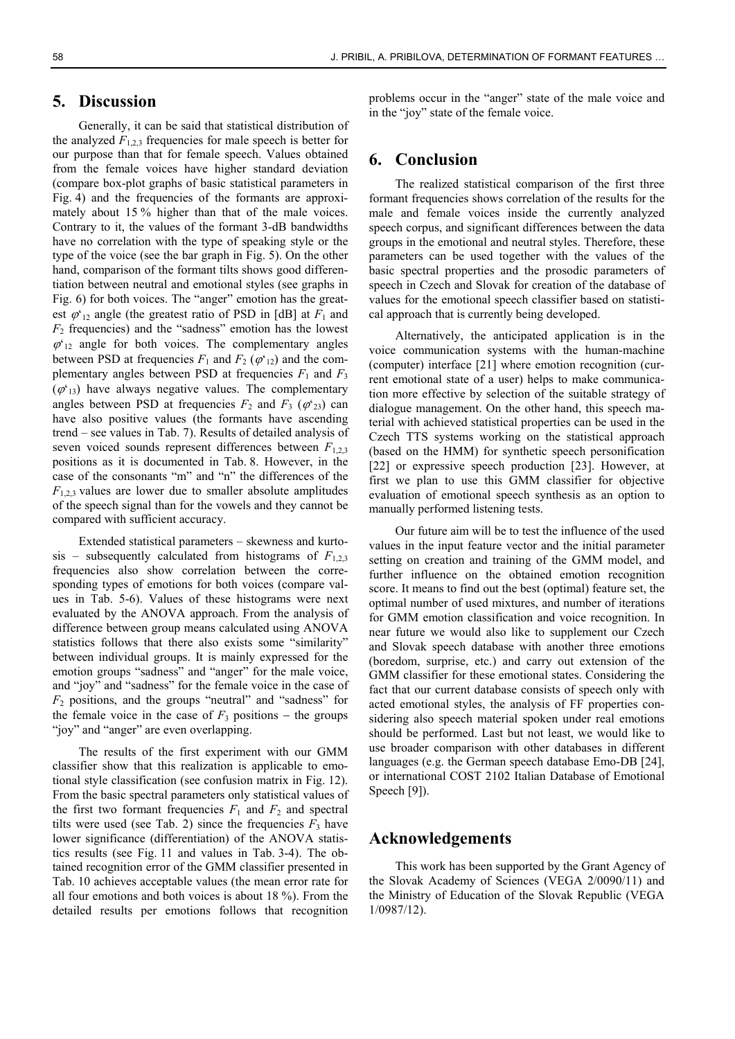# **5. Discussion**

Generally, it can be said that statistical distribution of the analyzed  $F_{1,2,3}$  frequencies for male speech is better for our purpose than that for female speech. Values obtained from the female voices have higher standard deviation (compare box-plot graphs of basic statistical parameters in Fig. 4) and the frequencies of the formants are approximately about 15 % higher than that of the male voices. Contrary to it, the values of the formant 3-dB bandwidths have no correlation with the type of speaking style or the type of the voice (see the bar graph in Fig. 5). On the other hand, comparison of the formant tilts shows good differentiation between neutral and emotional styles (see graphs in Fig. 6) for both voices. The "anger" emotion has the greatest  $\varphi_{12}$  angle (the greatest ratio of PSD in [dB] at  $F_1$  and  $F_2$  frequencies) and the "sadness" emotion has the lowest  $\varphi_{12}$  angle for both voices. The complementary angles between PSD at frequencies  $F_1$  and  $F_2$  ( $\varphi_{12}$ ) and the complementary angles between PSD at frequencies  $F_1$  and  $F_3$  $(\varphi_{13})$  have always negative values. The complementary angles between PSD at frequencies  $F_2$  and  $F_3$  ( $\varphi'_{23}$ ) can have also positive values (the formants have ascending trend – see values in Tab. 7). Results of detailed analysis of seven voiced sounds represent differences between *F*1,2,3 positions as it is documented in Tab. 8. However, in the case of the consonants "m" and "n" the differences of the  $F_{1,2,3}$  values are lower due to smaller absolute amplitudes of the speech signal than for the vowels and they cannot be compared with sufficient accuracy.

Extended statistical parameters – skewness and kurtosis – subsequently calculated from histograms of  $F_{1,2,3}$ frequencies also show correlation between the corresponding types of emotions for both voices (compare values in Tab. 5-6). Values of these histograms were next evaluated by the ANOVA approach. From the analysis of difference between group means calculated using ANOVA statistics follows that there also exists some "similarity" between individual groups. It is mainly expressed for the emotion groups "sadness" and "anger" for the male voice, and "joy" and "sadness" for the female voice in the case of *F*2 positions, and the groups "neutral" and "sadness" for the female voice in the case of  $F_3$  positions  $-$  the groups "joy" and "anger" are even overlapping.

The results of the first experiment with our GMM classifier show that this realization is applicable to emotional style classification (see confusion matrix in Fig. 12). From the basic spectral parameters only statistical values of the first two formant frequencies  $F_1$  and  $F_2$  and spectral tilts were used (see Tab. 2) since the frequencies  $F_3$  have lower significance (differentiation) of the ANOVA statistics results (see Fig. 11 and values in Tab. 3-4). The obtained recognition error of the GMM classifier presented in Tab. 10 achieves acceptable values (the mean error rate for all four emotions and both voices is about 18 %). From the detailed results per emotions follows that recognition

problems occur in the "anger" state of the male voice and in the "joy" state of the female voice.

# **6. Conclusion**

The realized statistical comparison of the first three formant frequencies shows correlation of the results for the male and female voices inside the currently analyzed speech corpus, and significant differences between the data groups in the emotional and neutral styles. Therefore, these parameters can be used together with the values of the basic spectral properties and the prosodic parameters of speech in Czech and Slovak for creation of the database of values for the emotional speech classifier based on statistical approach that is currently being developed.

Alternatively, the anticipated application is in the voice communication systems with the human-machine (computer) interface [21] where emotion recognition (current emotional state of a user) helps to make communication more effective by selection of the suitable strategy of dialogue management. On the other hand, this speech material with achieved statistical properties can be used in the Czech TTS systems working on the statistical approach (based on the HMM) for synthetic speech personification [22] or expressive speech production [23]. However, at first we plan to use this GMM classifier for objective evaluation of emotional speech synthesis as an option to manually performed listening tests.

Our future aim will be to test the influence of the used values in the input feature vector and the initial parameter setting on creation and training of the GMM model, and further influence on the obtained emotion recognition score. It means to find out the best (optimal) feature set, the optimal number of used mixtures, and number of iterations for GMM emotion classification and voice recognition. In near future we would also like to supplement our Czech and Slovak speech database with another three emotions (boredom, surprise, etc.) and carry out extension of the GMM classifier for these emotional states. Considering the fact that our current database consists of speech only with acted emotional styles, the analysis of FF properties considering also speech material spoken under real emotions should be performed. Last but not least, we would like to use broader comparison with other databases in different languages (e.g. the German speech database Emo-DB [24], or international COST 2102 Italian Database of Emotional Speech [9]).

#### **Acknowledgements**

This work has been supported by the Grant Agency of the Slovak Academy of Sciences (VEGA 2/0090/11) and the Ministry of Education of the Slovak Republic (VEGA 1/0987/12).